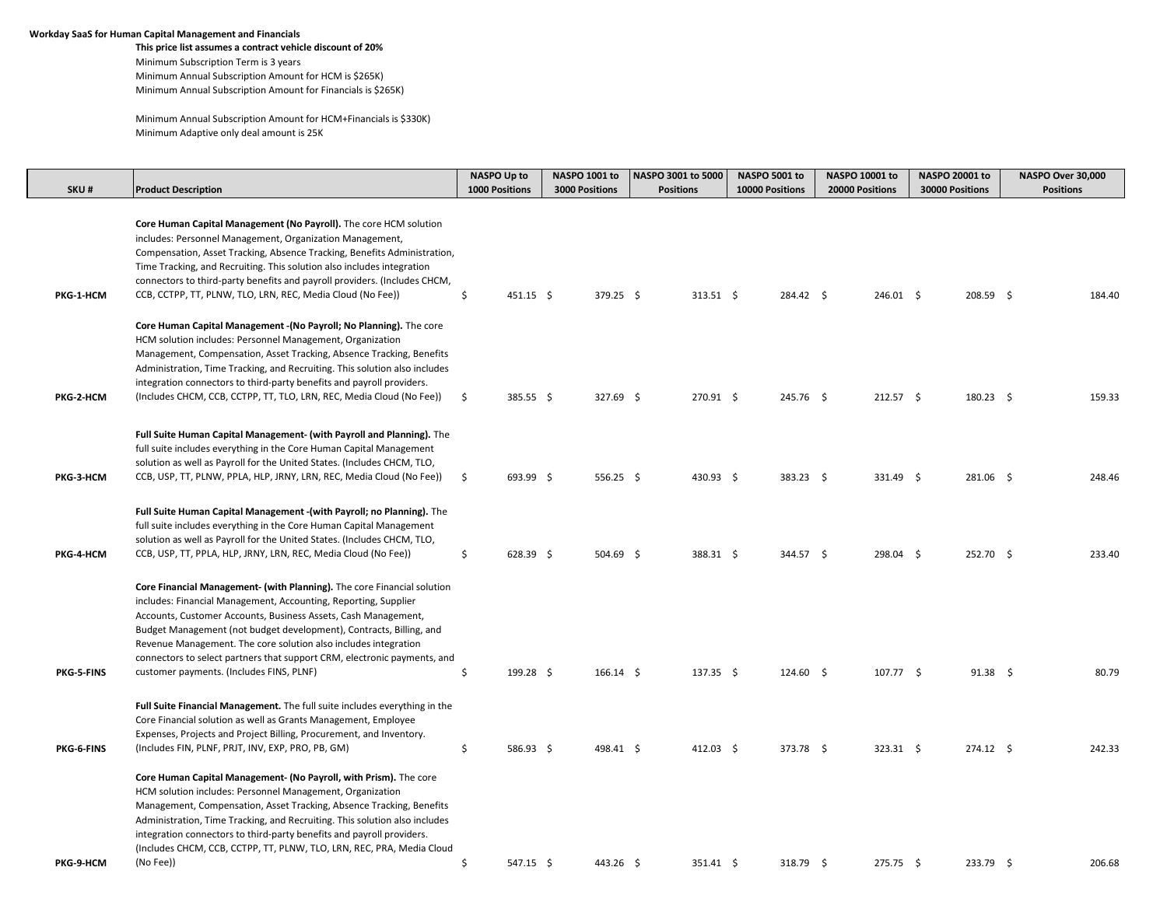## **Workday SaaS for Human Capital Management and Financials**

**This price list assumes a contract vehicle discount of 20%** Minimum Subscription Term is 3 years Minimum Annual Subscription Amount for HCM is \$265K) Minimum Annual Subscription Amount for Financials is \$265K)

Minimum Annual Subscription Amount for HCM+Financials is \$330K) Minimum Adaptive only deal amount is 25K

|            |                                                                                                                                                                                                                                                                                                                                                                                                                                                                                             | <b>NASPO Up to</b>    | NASPO 1001 to         | NASPO 3001 to 5000 | <b>NASPO 5001 to</b> | NASPO 10001 to  | NASPO 20001 to    | NASPO Over 30,000 |
|------------|---------------------------------------------------------------------------------------------------------------------------------------------------------------------------------------------------------------------------------------------------------------------------------------------------------------------------------------------------------------------------------------------------------------------------------------------------------------------------------------------|-----------------------|-----------------------|--------------------|----------------------|-----------------|-------------------|-------------------|
| SKU#       | <b>Product Description</b>                                                                                                                                                                                                                                                                                                                                                                                                                                                                  | <b>1000 Positions</b> | <b>3000 Positions</b> | <b>Positions</b>   | 10000 Positions      | 20000 Positions | 30000 Positions   | <b>Positions</b>  |
| PKG-1-HCM  | Core Human Capital Management (No Payroll). The core HCM solution<br>includes: Personnel Management, Organization Management,<br>Compensation, Asset Tracking, Absence Tracking, Benefits Administration,<br>Time Tracking, and Recruiting. This solution also includes integration<br>connectors to third-party benefits and payroll providers. (Includes CHCM,<br>CCB, CCTPP, TT, PLNW, TLO, LRN, REC, Media Cloud (No Fee))                                                              | 451.15 \$<br>\$       | 379.25 \$             | $313.51$ \$        | 284.42 \$            | 246.01 \$       | 208.59 \$         | 184.40            |
| PKG-2-HCM  | Core Human Capital Management - (No Payroll; No Planning). The core<br>HCM solution includes: Personnel Management, Organization<br>Management, Compensation, Asset Tracking, Absence Tracking, Benefits<br>Administration, Time Tracking, and Recruiting. This solution also includes<br>integration connectors to third-party benefits and payroll providers.<br>(Includes CHCM, CCB, CCTPP, TT, TLO, LRN, REC, Media Cloud (No Fee))                                                     | \$<br>385.55 \$       | 327.69 \$             | 270.91 \$          | 245.76 \$            | $212.57$ \$     | $180.23$ \$       | 159.33            |
|            |                                                                                                                                                                                                                                                                                                                                                                                                                                                                                             |                       |                       |                    |                      |                 |                   |                   |
| PKG-3-HCM  | Full Suite Human Capital Management- (with Payroll and Planning). The<br>full suite includes everything in the Core Human Capital Management<br>solution as well as Payroll for the United States. (Includes CHCM, TLO,<br>CCB, USP, TT, PLNW, PPLA, HLP, JRNY, LRN, REC, Media Cloud (No Fee))                                                                                                                                                                                             | \$<br>693.99 \$       | 556.25 \$             | 430.93 \$          | $383.23$ \$          | 331.49 \$       | 281.06 \$         | 248.46            |
| PKG-4-HCM  | Full Suite Human Capital Management - (with Payroll; no Planning). The<br>full suite includes everything in the Core Human Capital Management<br>solution as well as Payroll for the United States. (Includes CHCM, TLO,<br>CCB, USP, TT, PPLA, HLP, JRNY, LRN, REC, Media Cloud (No Fee))                                                                                                                                                                                                  | \$<br>$628.39$ \$     | 504.69 \$             | 388.31 \$          | 344.57 \$            | 298.04 \$       | 252.70 \$         | 233.40            |
| PKG-5-FINS | Core Financial Management- (with Planning). The core Financial solution<br>includes: Financial Management, Accounting, Reporting, Supplier<br>Accounts, Customer Accounts, Business Assets, Cash Management,<br>Budget Management (not budget development), Contracts, Billing, and<br>Revenue Management. The core solution also includes integration<br>connectors to select partners that support CRM, electronic payments, and<br>customer payments. (Includes FINS, PLNF)              | \$<br>199.28 \$       | $166.14 \quad$ \$     | 137.35 \$          | $124.60\quad$ \$     | $107.77$ \$     | $91.38 \quad $$   | 80.79             |
|            | Full Suite Financial Management. The full suite includes everything in the<br>Core Financial solution as well as Grants Management, Employee<br>Expenses, Projects and Project Billing, Procurement, and Inventory.                                                                                                                                                                                                                                                                         |                       |                       |                    |                      |                 |                   |                   |
| PKG-6-FINS | (Includes FIN, PLNF, PRJT, INV, EXP, PRO, PB, GM)<br>Core Human Capital Management- (No Payroll, with Prism). The core<br>HCM solution includes: Personnel Management, Organization<br>Management, Compensation, Asset Tracking, Absence Tracking, Benefits<br>Administration, Time Tracking, and Recruiting. This solution also includes<br>integration connectors to third-party benefits and payroll providers.<br>(Includes CHCM, CCB, CCTPP, TT, PLNW, TLO, LRN, REC, PRA, Media Cloud | \$<br>586.93 \$       | 498.41 \$             | $412.03 \quad $$   | 373.78 \$            | 323.31 \$       | $274.12 \quad$ \$ | 242.33            |
| PKG-9-HCM  | (No Fee))                                                                                                                                                                                                                                                                                                                                                                                                                                                                                   | Ś<br>547.15 \$        | 443.26 \$             | 351.41 \$          | 318.79 \$            | 275.75 \$       | 233.79 \$         | 206.68            |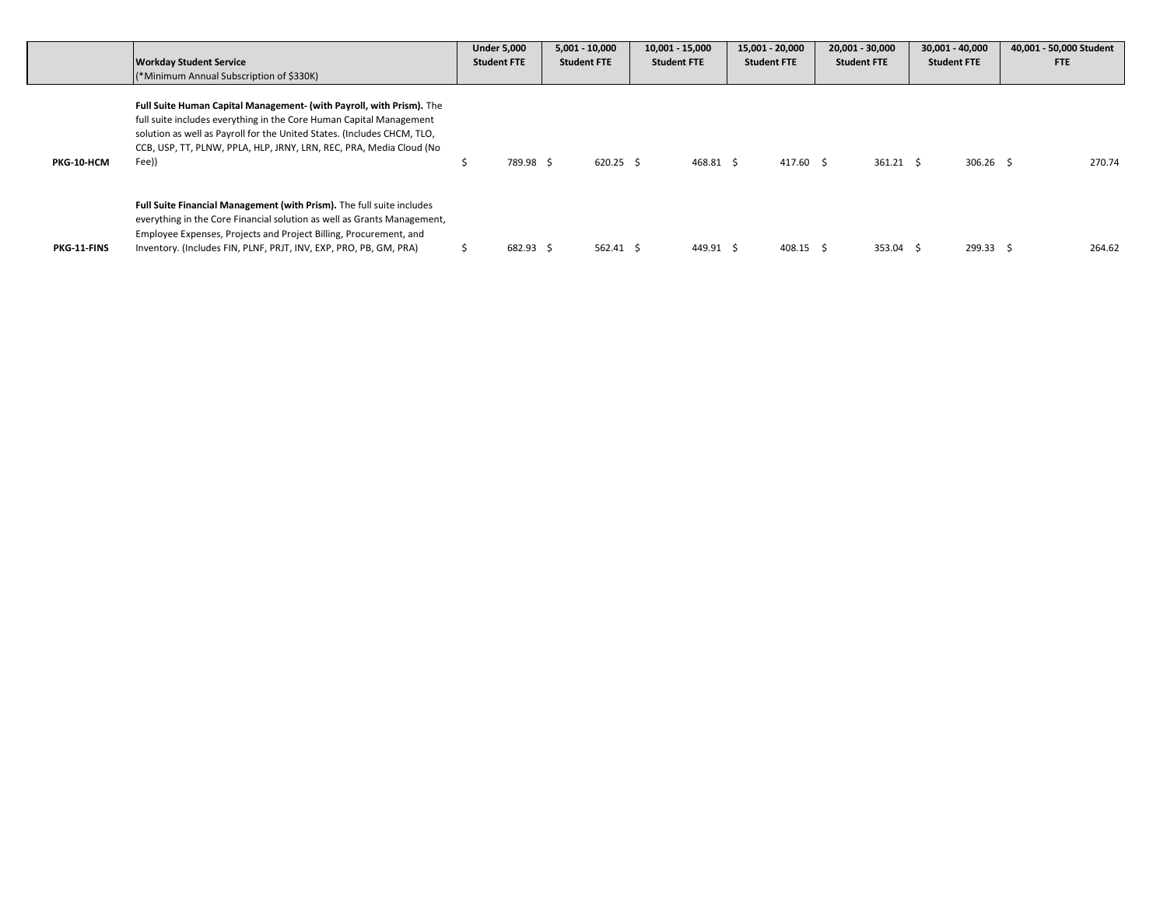|             |                                                                                                                                                                                                                                                                                                        | <b>Under 5,000</b> |           | $5,001 - 10,000$   | 10,001 - 15,000    |           | 15,001 - 20,000    | 20,001 - 30,000    | $30,001 - 40,000$  | 40,001 - 50,000 Student |
|-------------|--------------------------------------------------------------------------------------------------------------------------------------------------------------------------------------------------------------------------------------------------------------------------------------------------------|--------------------|-----------|--------------------|--------------------|-----------|--------------------|--------------------|--------------------|-------------------------|
|             | <b>Workday Student Service</b>                                                                                                                                                                                                                                                                         | <b>Student FTE</b> |           | <b>Student FTE</b> | <b>Student FTE</b> |           | <b>Student FTE</b> | <b>Student FTE</b> | <b>Student FTE</b> | <b>FTE</b>              |
|             | (*Minimum Annual Subscription of \$330K)                                                                                                                                                                                                                                                               |                    |           |                    |                    |           |                    |                    |                    |                         |
| PKG-10-HCM  | Full Suite Human Capital Management- (with Payroll, with Prism). The<br>full suite includes everything in the Core Human Capital Management<br>solution as well as Payroll for the United States. (Includes CHCM, TLO,<br>CCB, USP, TT, PLNW, PPLA, HLP, JRNY, LRN, REC, PRA, Media Cloud (No<br>Fee)) |                    | 789.98 \$ | 620.25 \$          |                    | 468.81 \$ | 417.60 \$          | $361.21$ \$        | $306.26$ \$        | 270.74                  |
| PKG-11-FINS | Full Suite Financial Management (with Prism). The full suite includes<br>everything in the Core Financial solution as well as Grants Management,<br>Employee Expenses, Projects and Project Billing, Procurement, and<br>Inventory. (Includes FIN, PLNF, PRJT, INV, EXP, PRO, PB, GM, PRA)             |                    | 682.93 \$ | 562.41 S           |                    | 449.91 \$ | 408.15 \$          | 353.04 \$          | 299.33 \$          | 264.62                  |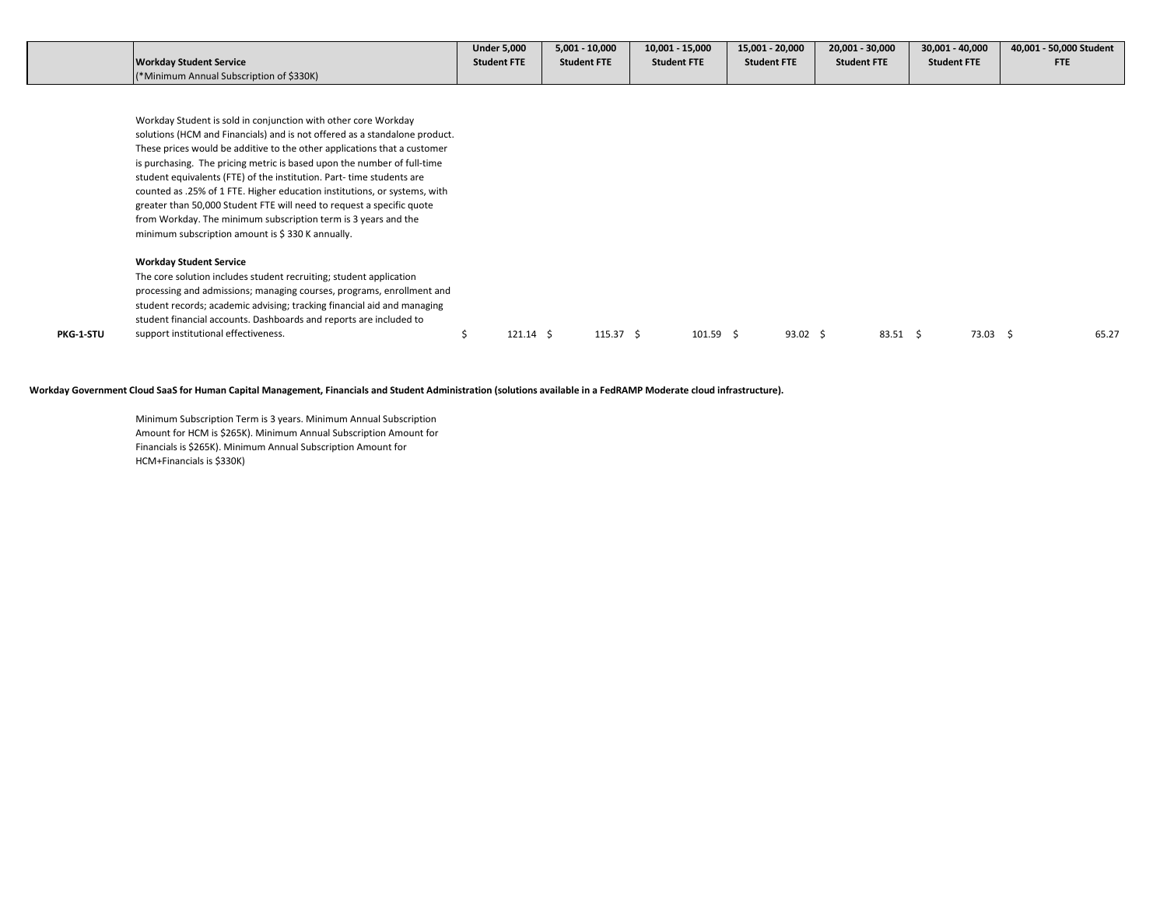|                                          | <b>Under 5.000</b> | $5,001 - 10,000$   | 10,001 - 15,000    | 15,001 - 20,000    | 20,001 - 30,000    | 30,001 - 40,000    | 40,001 - 50,000 Student |
|------------------------------------------|--------------------|--------------------|--------------------|--------------------|--------------------|--------------------|-------------------------|
| Workday Student Service                  | <b>Student FTE</b> | <b>Student FTE</b> | <b>Student FTE</b> | <b>Student FTE</b> | <b>Student FTE</b> | <b>Student FTE</b> | <b>FTE</b>              |
| (*Minimum Annual Subscription of \$330K) |                    |                    |                    |                    |                    |                    |                         |

Workday Student is sold in conjunction with other core Workday solutions (HCM and Financials) and is not offered as a standalone product. These prices would be additive to the other applications that a customer is purchasing. The pricing metric is based upon the number of full-time student equivalents (FTE) of the institution. Part- time students are counted as .25% of 1 FTE. Higher education institutions, or systems, with greater than 50,000 Student FTE will need to request a specific quote from Workday. The minimum subscription term is 3 years and the minimum subscription amount is \$ 330 K annually.

## **Workday Student Service**

|                  | The core solution includes student recruiting; student application      |        |          |        |       |       |       |       |
|------------------|-------------------------------------------------------------------------|--------|----------|--------|-------|-------|-------|-------|
|                  | processing and admissions; managing courses, programs, enrollment and   |        |          |        |       |       |       |       |
|                  | student records; academic advising; tracking financial aid and managing |        |          |        |       |       |       |       |
|                  | student financial accounts. Dashboards and reports are included to      |        |          |        |       |       |       |       |
| <b>PKG-1-STU</b> | support institutional effectiveness.                                    | 121.14 | 115.37 S | 101.59 | 93.02 | 83.51 | 73.03 | 65.27 |
|                  |                                                                         |        |          |        |       |       |       |       |

## **Workday Government Cloud SaaS for Human Capital Management, Financials and Student Administration (solutions available in a FedRAMP Moderate cloud infrastructure).**

Minimum Subscription Term is 3 years. Minimum Annual Subscription Amount for HCM is \$265K). Minimum Annual Subscription Amount for Financials is \$265K). Minimum Annual Subscription Amount for HCM+Financials is \$330K)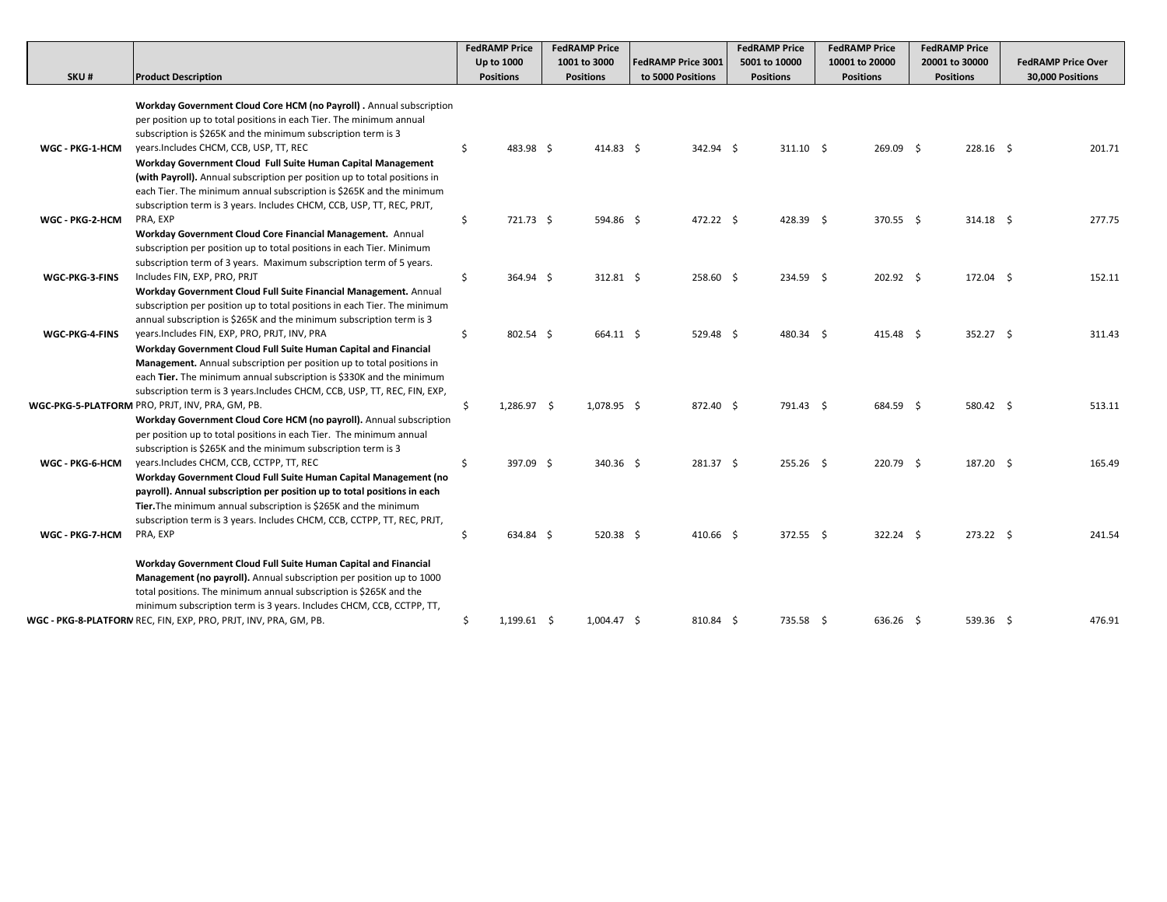|                 |                                                                                                                                            |    | <b>FedRAMP Price</b> | <b>FedRAMP Price</b> |                           | <b>FedRAMP Price</b> | <b>FedRAMP Price</b> | <b>FedRAMP Price</b> |                           |
|-----------------|--------------------------------------------------------------------------------------------------------------------------------------------|----|----------------------|----------------------|---------------------------|----------------------|----------------------|----------------------|---------------------------|
|                 |                                                                                                                                            |    | Up to 1000           | 1001 to 3000         | <b>FedRAMP Price 3001</b> | 5001 to 10000        | 10001 to 20000       | 20001 to 30000       | <b>FedRAMP Price Over</b> |
| SKU#            | <b>Product Description</b>                                                                                                                 |    | <b>Positions</b>     | <b>Positions</b>     | to 5000 Positions         | <b>Positions</b>     | <b>Positions</b>     | <b>Positions</b>     | 30,000 Positions          |
|                 | Workday Government Cloud Core HCM (no Payroll). Annual subscription<br>per position up to total positions in each Tier. The minimum annual |    |                      |                      |                           |                      |                      |                      |                           |
|                 | subscription is \$265K and the minimum subscription term is 3                                                                              |    |                      |                      |                           |                      |                      |                      |                           |
| WGC - PKG-1-HCM | years. Includes CHCM, CCB, USP, TT, REC                                                                                                    | \$ | 483.98 \$            | 414.83 \$            | 342.94 \$                 | $311.10 \quad $$     | 269.09 \$            | $228.16$ \$          | 201.71                    |
|                 | Workday Government Cloud Full Suite Human Capital Management                                                                               |    |                      |                      |                           |                      |                      |                      |                           |
|                 | (with Payroll). Annual subscription per position up to total positions in                                                                  |    |                      |                      |                           |                      |                      |                      |                           |
|                 | each Tier. The minimum annual subscription is \$265K and the minimum                                                                       |    |                      |                      |                           |                      |                      |                      |                           |
|                 | subscription term is 3 years. Includes CHCM, CCB, USP, TT, REC, PRJT,                                                                      |    |                      |                      |                           |                      |                      |                      |                           |
| WGC - PKG-2-HCM | PRA, EXP                                                                                                                                   | \$ | 721.73 \$            | 594.86 \$            | 472.22 \$                 | 428.39 \$            | 370.55 \$            | $314.18$ \$          | 277.75                    |
|                 | Workday Government Cloud Core Financial Management. Annual                                                                                 |    |                      |                      |                           |                      |                      |                      |                           |
|                 | subscription per position up to total positions in each Tier. Minimum                                                                      |    |                      |                      |                           |                      |                      |                      |                           |
|                 | subscription term of 3 years. Maximum subscription term of 5 years.                                                                        |    |                      |                      |                           |                      |                      |                      |                           |
| WGC-PKG-3-FINS  | Includes FIN, EXP, PRO, PRJT                                                                                                               | \$ | 364.94 \$            | 312.81 \$            | 258.60 \$                 | 234.59 \$            | 202.92 \$            | 172.04 \$            | 152.11                    |
|                 | Workday Government Cloud Full Suite Financial Management. Annual                                                                           |    |                      |                      |                           |                      |                      |                      |                           |
|                 | subscription per position up to total positions in each Tier. The minimum                                                                  |    |                      |                      |                           |                      |                      |                      |                           |
|                 | annual subscription is \$265K and the minimum subscription term is 3                                                                       |    |                      |                      |                           |                      |                      |                      |                           |
| WGC-PKG-4-FINS  | years.Includes FIN, EXP, PRO, PRJT, INV, PRA                                                                                               | \$ | 802.54 \$            | 664.11 \$            | 529.48 \$                 | 480.34 \$            | 415.48 \$            | 352.27 \$            | 311.43                    |
|                 | Workday Government Cloud Full Suite Human Capital and Financial                                                                            |    |                      |                      |                           |                      |                      |                      |                           |
|                 | Management. Annual subscription per position up to total positions in                                                                      |    |                      |                      |                           |                      |                      |                      |                           |
|                 | each Tier. The minimum annual subscription is \$330K and the minimum                                                                       |    |                      |                      |                           |                      |                      |                      |                           |
|                 | subscription term is 3 years. Includes CHCM, CCB, USP, TT, REC, FIN, EXP,                                                                  |    |                      |                      |                           |                      |                      |                      |                           |
|                 | WGC-PKG-5-PLATFORM PRO, PRJT, INV, PRA, GM, PB.                                                                                            | Ŝ  | 1,286.97 \$          | 1,078.95 \$          | 872.40 \$                 | 791.43 \$            | 684.59 \$            | 580.42 \$            | 513.11                    |
|                 | Workday Government Cloud Core HCM (no payroll). Annual subscription                                                                        |    |                      |                      |                           |                      |                      |                      |                           |
|                 | per position up to total positions in each Tier. The minimum annual                                                                        |    |                      |                      |                           |                      |                      |                      |                           |
|                 | subscription is \$265K and the minimum subscription term is 3                                                                              |    |                      |                      |                           |                      |                      |                      |                           |
| WGC - PKG-6-HCM | years. Includes CHCM, CCB, CCTPP, TT, REC                                                                                                  | \$ | 397.09 \$            | 340.36 \$            | 281.37 \$                 | $255.26$ \$          | 220.79 \$            | 187.20 \$            | 165.49                    |
|                 | Workday Government Cloud Full Suite Human Capital Management (no                                                                           |    |                      |                      |                           |                      |                      |                      |                           |
|                 | payroll). Annual subscription per position up to total positions in each                                                                   |    |                      |                      |                           |                      |                      |                      |                           |
|                 | Tier. The minimum annual subscription is \$265K and the minimum                                                                            |    |                      |                      |                           |                      |                      |                      |                           |
|                 | subscription term is 3 years. Includes CHCM, CCB, CCTPP, TT, REC, PRJT,                                                                    |    |                      |                      |                           |                      |                      |                      |                           |
| WGC - PKG-7-HCM | PRA, EXP                                                                                                                                   | \$ | 634.84 \$            | $520.38$ \$          | 410.66 \$                 | 372.55 \$            | 322.24 \$            | 273.22 \$            | 241.54                    |
|                 | Workday Government Cloud Full Suite Human Capital and Financial                                                                            |    |                      |                      |                           |                      |                      |                      |                           |
|                 | Management (no payroll). Annual subscription per position up to 1000                                                                       |    |                      |                      |                           |                      |                      |                      |                           |
|                 | total positions. The minimum annual subscription is \$265K and the                                                                         |    |                      |                      |                           |                      |                      |                      |                           |
|                 | minimum subscription term is 3 years. Includes CHCM, CCB, CCTPP, TT,                                                                       |    |                      |                      |                           |                      |                      |                      |                           |
|                 | WGC - PKG-8-PLATFORN REC, FIN, EXP, PRO, PRJT, INV, PRA, GM, PB.                                                                           | \$ | $1,199.61$ \$        | $1,004.47$ \$        | 810.84 \$                 | 735.58 \$            | 636.26 \$            | 539.36 \$            | 476.91                    |
|                 |                                                                                                                                            |    |                      |                      |                           |                      |                      |                      |                           |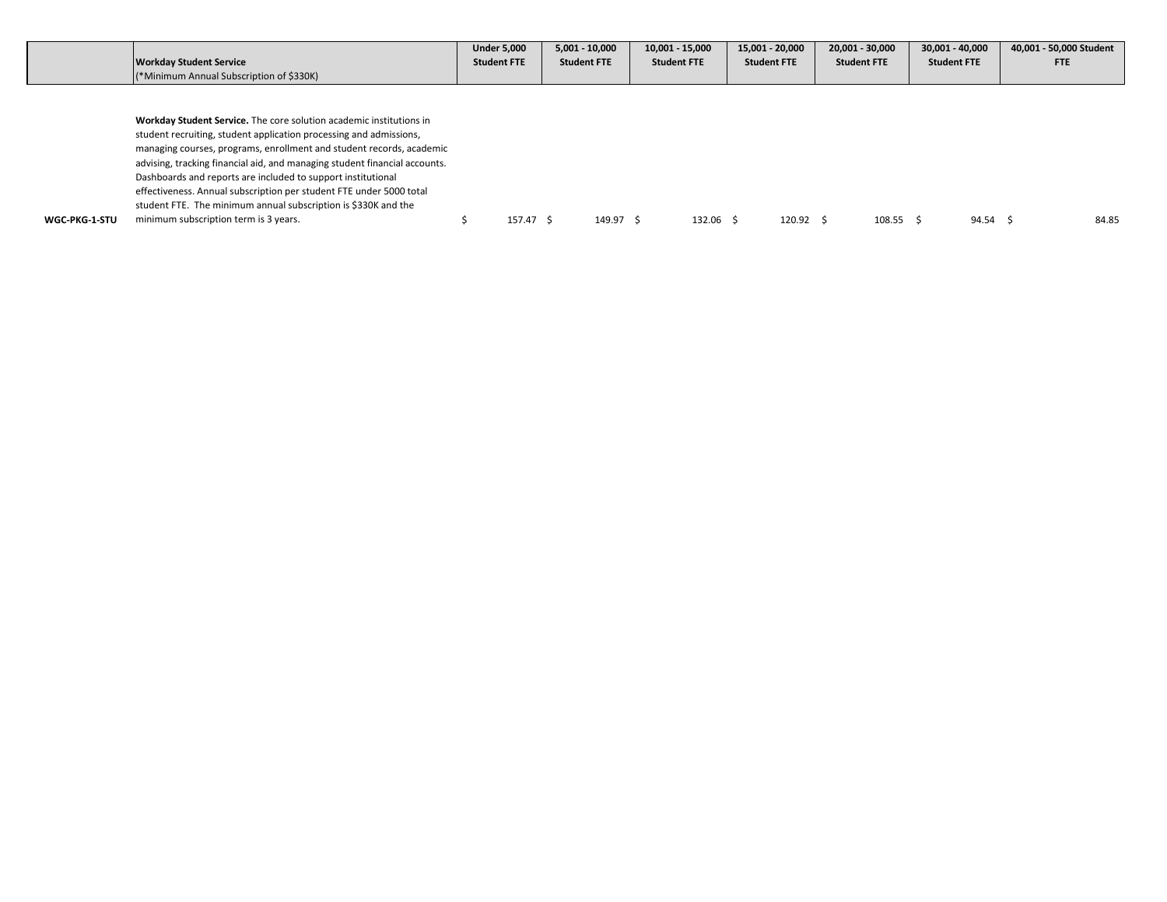|               |                                                                            | <b>Under 5,000</b> |           | $5,001 - 10,000$   |           | $10,001 - 15,000$  | 15,001 - 20,000    |                  | 20.001 - 30.000    | 30.001 - 40.000    |          | 40,001 - 50,000 Student |
|---------------|----------------------------------------------------------------------------|--------------------|-----------|--------------------|-----------|--------------------|--------------------|------------------|--------------------|--------------------|----------|-------------------------|
|               | <b>Workday Student Service</b>                                             | <b>Student FTE</b> |           | <b>Student FTE</b> |           | <b>Student FTE</b> | <b>Student FTE</b> |                  | <b>Student FTE</b> | <b>Student FTE</b> |          | <b>FTE</b>              |
|               | (*Minimum Annual Subscription of \$330K)                                   |                    |           |                    |           |                    |                    |                  |                    |                    |          |                         |
|               |                                                                            |                    |           |                    |           |                    |                    |                  |                    |                    |          |                         |
|               |                                                                            |                    |           |                    |           |                    |                    |                  |                    |                    |          |                         |
|               | Workday Student Service. The core solution academic institutions in        |                    |           |                    |           |                    |                    |                  |                    |                    |          |                         |
|               | student recruiting, student application processing and admissions,         |                    |           |                    |           |                    |                    |                  |                    |                    |          |                         |
|               | managing courses, programs, enrollment and student records, academic       |                    |           |                    |           |                    |                    |                  |                    |                    |          |                         |
|               | advising, tracking financial aid, and managing student financial accounts. |                    |           |                    |           |                    |                    |                  |                    |                    |          |                         |
|               | Dashboards and reports are included to support institutional               |                    |           |                    |           |                    |                    |                  |                    |                    |          |                         |
|               | effectiveness. Annual subscription per student FTE under 5000 total        |                    |           |                    |           |                    |                    |                  |                    |                    |          |                         |
|               | student FTE. The minimum annual subscription is \$330K and the             |                    |           |                    |           |                    |                    |                  |                    |                    |          |                         |
| WGC-PKG-1-STU | minimum subscription term is 3 years.                                      |                    | 157.47 \$ |                    | 149.97 \$ | 132.06 \$          |                    | $120.92 \quad S$ | $108.55$ \$        |                    | 94.54 \$ | 84.85                   |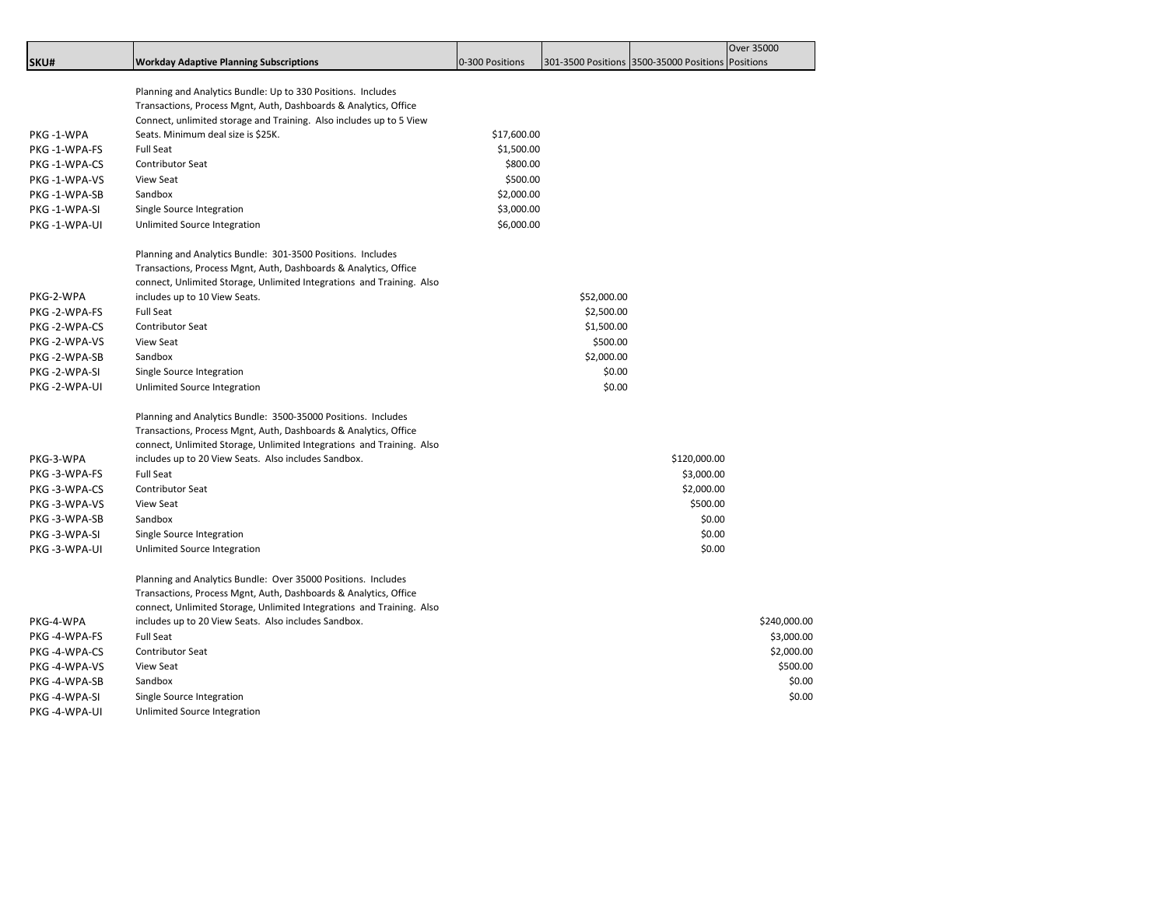|               |                                                                       |                 |             |                                                   | Over 35000   |
|---------------|-----------------------------------------------------------------------|-----------------|-------------|---------------------------------------------------|--------------|
| SKU#          | <b>Workday Adaptive Planning Subscriptions</b>                        | 0-300 Positions |             | 301-3500 Positions 3500-35000 Positions Positions |              |
|               |                                                                       |                 |             |                                                   |              |
|               | Planning and Analytics Bundle: Up to 330 Positions. Includes          |                 |             |                                                   |              |
|               | Transactions, Process Mgnt, Auth, Dashboards & Analytics, Office      |                 |             |                                                   |              |
|               | Connect, unlimited storage and Training. Also includes up to 5 View   |                 |             |                                                   |              |
| PKG-1-WPA     | Seats. Minimum deal size is \$25K.                                    | \$17,600.00     |             |                                                   |              |
| PKG-1-WPA-FS  | <b>Full Seat</b>                                                      | \$1,500.00      |             |                                                   |              |
| PKG-1-WPA-CS  | <b>Contributor Seat</b>                                               | \$800.00        |             |                                                   |              |
| PKG-1-WPA-VS  | <b>View Seat</b>                                                      | \$500.00        |             |                                                   |              |
| PKG -1-WPA-SB | Sandbox                                                               | \$2,000.00      |             |                                                   |              |
| PKG-1-WPA-SI  | Single Source Integration                                             | \$3,000.00      |             |                                                   |              |
| PKG -1-WPA-UI | Unlimited Source Integration                                          | \$6,000.00      |             |                                                   |              |
|               | Planning and Analytics Bundle: 301-3500 Positions. Includes           |                 |             |                                                   |              |
|               | Transactions, Process Mgnt, Auth, Dashboards & Analytics, Office      |                 |             |                                                   |              |
|               | connect, Unlimited Storage, Unlimited Integrations and Training. Also |                 |             |                                                   |              |
| PKG-2-WPA     | includes up to 10 View Seats.                                         |                 | \$52,000.00 |                                                   |              |
| PKG -2-WPA-FS | <b>Full Seat</b>                                                      |                 | \$2,500.00  |                                                   |              |
| PKG-2-WPA-CS  | Contributor Seat                                                      |                 | \$1,500.00  |                                                   |              |
| PKG-2-WPA-VS  | <b>View Seat</b>                                                      |                 | \$500.00    |                                                   |              |
| PKG -2-WPA-SB | Sandbox                                                               |                 | \$2,000.00  |                                                   |              |
| PKG-2-WPA-SI  | Single Source Integration                                             |                 | \$0.00      |                                                   |              |
| PKG -2-WPA-UI | Unlimited Source Integration                                          |                 | \$0.00      |                                                   |              |
|               | Planning and Analytics Bundle: 3500-35000 Positions. Includes         |                 |             |                                                   |              |
|               | Transactions, Process Mgnt, Auth, Dashboards & Analytics, Office      |                 |             |                                                   |              |
|               | connect, Unlimited Storage, Unlimited Integrations and Training. Also |                 |             |                                                   |              |
| PKG-3-WPA     | includes up to 20 View Seats. Also includes Sandbox.                  |                 |             | \$120,000.00                                      |              |
| PKG -3-WPA-FS | <b>Full Seat</b>                                                      |                 |             | \$3,000.00                                        |              |
| PKG-3-WPA-CS  | Contributor Seat                                                      |                 |             | \$2,000.00                                        |              |
| PKG-3-WPA-VS  | <b>View Seat</b>                                                      |                 |             | \$500.00                                          |              |
| PKG-3-WPA-SB  | Sandbox                                                               |                 |             | \$0.00                                            |              |
| PKG-3-WPA-SI  | Single Source Integration                                             |                 |             | \$0.00                                            |              |
| PKG -3-WPA-UI | Unlimited Source Integration                                          |                 |             | \$0.00                                            |              |
|               | Planning and Analytics Bundle: Over 35000 Positions. Includes         |                 |             |                                                   |              |
|               | Transactions, Process Mgnt, Auth, Dashboards & Analytics, Office      |                 |             |                                                   |              |
|               | connect, Unlimited Storage, Unlimited Integrations and Training. Also |                 |             |                                                   |              |
| PKG-4-WPA     | includes up to 20 View Seats. Also includes Sandbox.                  |                 |             |                                                   | \$240,000.00 |
| PKG-4-WPA-FS  | <b>Full Seat</b>                                                      |                 |             |                                                   | \$3,000.00   |
| PKG-4-WPA-CS  | Contributor Seat                                                      |                 |             |                                                   | \$2,000.00   |
| PKG-4-WPA-VS  | <b>View Seat</b>                                                      |                 |             |                                                   | \$500.00     |
| PKG -4-WPA-SB | Sandbox                                                               |                 |             |                                                   | \$0.00       |
| PKG -4-WPA-SI | Single Source Integration                                             |                 |             |                                                   | \$0.00       |
| PKG -4-WPA-UI | Unlimited Source Integration                                          |                 |             |                                                   |              |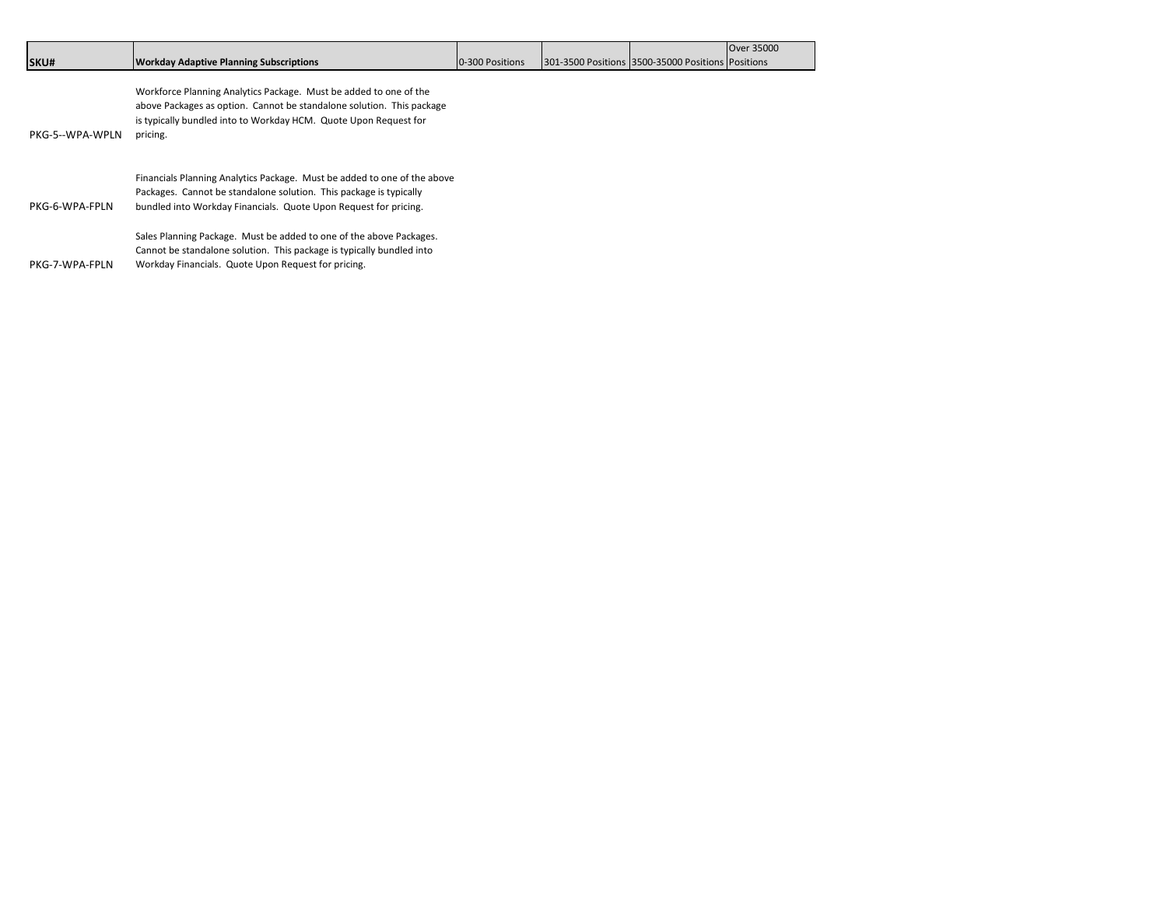|                 |                                                                          |                 |                                                   | Over 35000 |
|-----------------|--------------------------------------------------------------------------|-----------------|---------------------------------------------------|------------|
| SKU#            | <b>Workday Adaptive Planning Subscriptions</b>                           | 0-300 Positions | 301-3500 Positions 3500-35000 Positions Positions |            |
|                 |                                                                          |                 |                                                   |            |
|                 | Workforce Planning Analytics Package. Must be added to one of the        |                 |                                                   |            |
|                 | above Packages as option. Cannot be standalone solution. This package    |                 |                                                   |            |
|                 | is typically bundled into to Workday HCM. Quote Upon Request for         |                 |                                                   |            |
| PKG-5--WPA-WPLN | pricing.                                                                 |                 |                                                   |            |
|                 |                                                                          |                 |                                                   |            |
|                 | Financials Planning Analytics Package. Must be added to one of the above |                 |                                                   |            |
|                 | Packages. Cannot be standalone solution. This package is typically       |                 |                                                   |            |
| PKG-6-WPA-FPLN  | bundled into Workday Financials. Quote Upon Request for pricing.         |                 |                                                   |            |
|                 |                                                                          |                 |                                                   |            |
|                 | Sales Planning Package. Must be added to one of the above Packages.      |                 |                                                   |            |
|                 | Cannot be standalone solution. This package is typically bundled into    |                 |                                                   |            |
| PKG-7-WPA-FPLN  | Workday Financials. Quote Upon Request for pricing.                      |                 |                                                   |            |
|                 |                                                                          |                 |                                                   |            |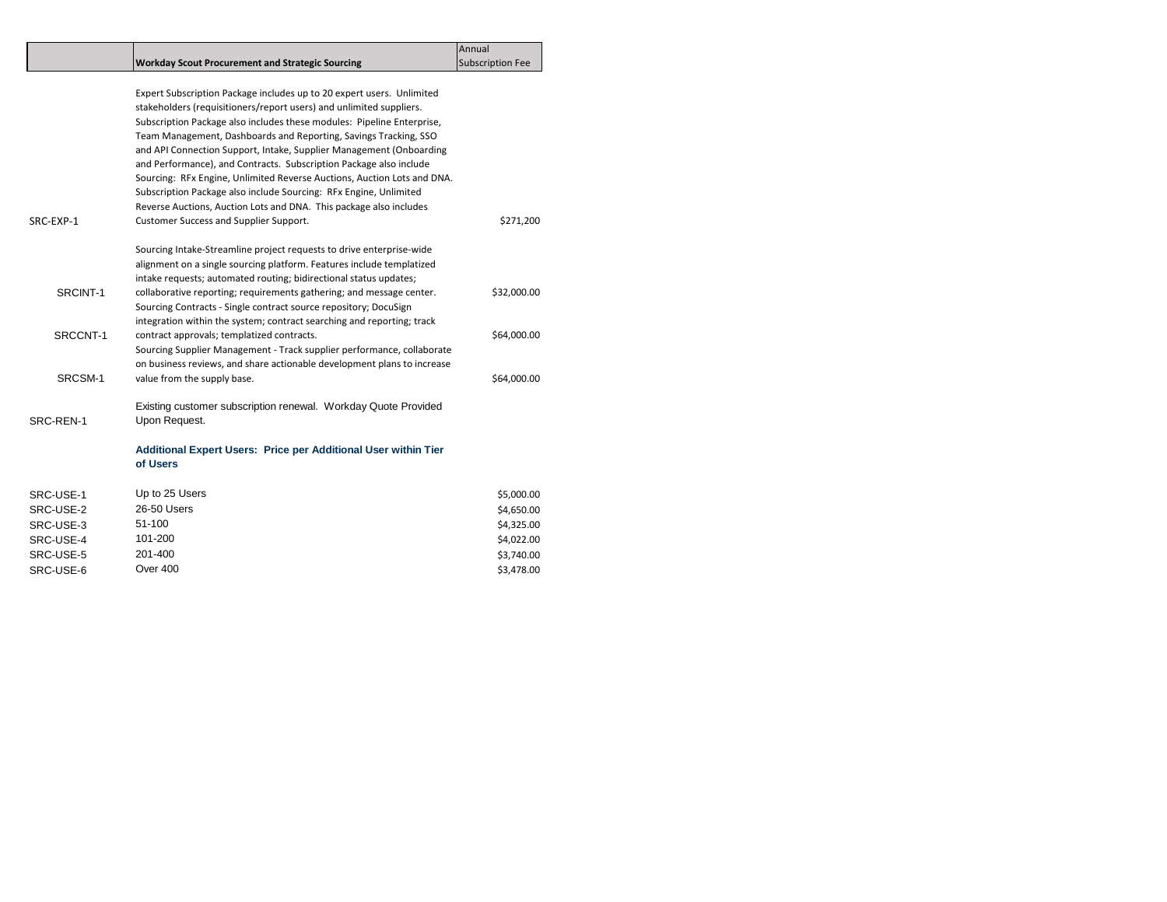|           |                                                                         | Annual                  |
|-----------|-------------------------------------------------------------------------|-------------------------|
|           | <b>Workday Scout Procurement and Strategic Sourcing</b>                 | <b>Subscription Fee</b> |
|           |                                                                         |                         |
|           | Expert Subscription Package includes up to 20 expert users. Unlimited   |                         |
|           | stakeholders (requisitioners/report users) and unlimited suppliers.     |                         |
|           | Subscription Package also includes these modules: Pipeline Enterprise,  |                         |
|           | Team Management, Dashboards and Reporting, Savings Tracking, SSO        |                         |
|           | and API Connection Support, Intake, Supplier Management (Onboarding     |                         |
|           | and Performance), and Contracts. Subscription Package also include      |                         |
|           | Sourcing: RFx Engine, Unlimited Reverse Auctions, Auction Lots and DNA. |                         |
|           | Subscription Package also include Sourcing: RFx Engine, Unlimited       |                         |
|           | Reverse Auctions, Auction Lots and DNA. This package also includes      |                         |
| SRC-EXP-1 | Customer Success and Supplier Support.                                  | \$271,200               |
|           | Sourcing Intake-Streamline project requests to drive enterprise-wide    |                         |
|           | alignment on a single sourcing platform. Features include templatized   |                         |
|           | intake requests; automated routing; bidirectional status updates;       |                         |
| SRCINT-1  | collaborative reporting; requirements gathering; and message center.    | \$32,000.00             |
|           | Sourcing Contracts - Single contract source repository; DocuSign        |                         |
|           | integration within the system; contract searching and reporting; track  |                         |
| SRCCNT-1  | contract approvals; templatized contracts.                              | \$64,000.00             |
|           | Sourcing Supplier Management - Track supplier performance, collaborate  |                         |
|           | on business reviews, and share actionable development plans to increase |                         |
| SRCSM-1   | value from the supply base.                                             | \$64,000.00             |
|           | Existing customer subscription renewal. Workday Quote Provided          |                         |
| SRC-REN-1 | Upon Request.                                                           |                         |
|           | Additional Expert Users: Price per Additional User within Tier          |                         |
|           | of Users                                                                |                         |
| SRC-USE-1 | Up to 25 Users                                                          | \$5,000.00              |
| SRC-USE-2 | 26-50 Users                                                             | \$4,650.00              |
| SRC-USE-3 | 51-100                                                                  | \$4,325.00              |

SRC-USE-4 101-200<br>SRC-USE-5 201-400 201-000

SRC-USE-6 Over 400 Over 100

SRC-USE-5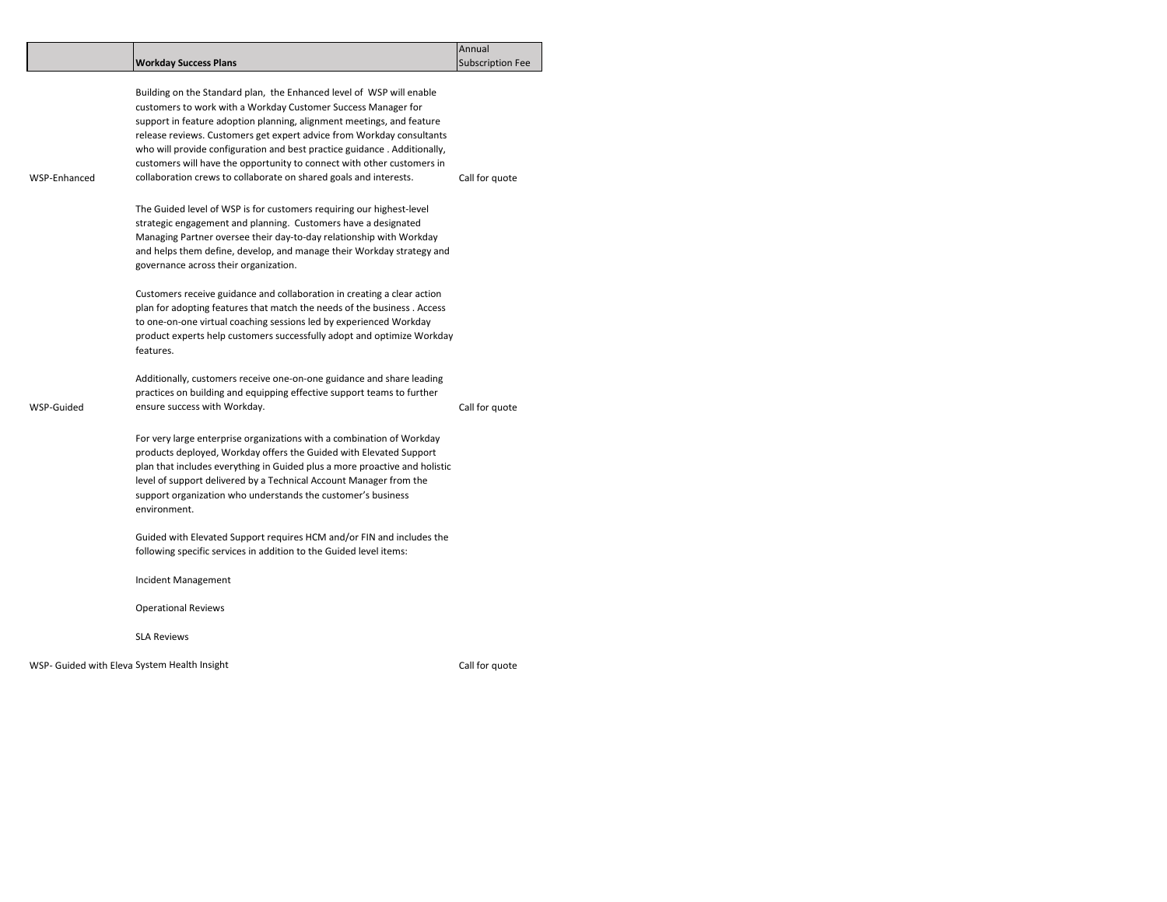|              |                                                                                                                                                                                                                                                                                                                                                                                                                                                                                                                    | Annual                  |  |  |
|--------------|--------------------------------------------------------------------------------------------------------------------------------------------------------------------------------------------------------------------------------------------------------------------------------------------------------------------------------------------------------------------------------------------------------------------------------------------------------------------------------------------------------------------|-------------------------|--|--|
|              | <b>Workday Success Plans</b>                                                                                                                                                                                                                                                                                                                                                                                                                                                                                       | <b>Subscription Fee</b> |  |  |
| WSP-Enhanced | Building on the Standard plan, the Enhanced level of WSP will enable<br>customers to work with a Workday Customer Success Manager for<br>support in feature adoption planning, alignment meetings, and feature<br>release reviews. Customers get expert advice from Workday consultants<br>who will provide configuration and best practice guidance. Additionally,<br>customers will have the opportunity to connect with other customers in<br>collaboration crews to collaborate on shared goals and interests. | Call for quote          |  |  |
|              | The Guided level of WSP is for customers requiring our highest-level<br>strategic engagement and planning. Customers have a designated<br>Managing Partner oversee their day-to-day relationship with Workday<br>and helps them define, develop, and manage their Workday strategy and<br>governance across their organization.                                                                                                                                                                                    |                         |  |  |
|              | Customers receive guidance and collaboration in creating a clear action<br>plan for adopting features that match the needs of the business. Access<br>to one-on-one virtual coaching sessions led by experienced Workday<br>product experts help customers successfully adopt and optimize Workday<br>features.                                                                                                                                                                                                    |                         |  |  |
| WSP-Guided   | Additionally, customers receive one-on-one guidance and share leading<br>practices on building and equipping effective support teams to further<br>ensure success with Workday.                                                                                                                                                                                                                                                                                                                                    | Call for quote          |  |  |
|              | For very large enterprise organizations with a combination of Workday<br>products deployed, Workday offers the Guided with Elevated Support<br>plan that includes everything in Guided plus a more proactive and holistic<br>level of support delivered by a Technical Account Manager from the<br>support organization who understands the customer's business<br>environment.                                                                                                                                    |                         |  |  |
|              | Guided with Elevated Support requires HCM and/or FIN and includes the<br>following specific services in addition to the Guided level items:                                                                                                                                                                                                                                                                                                                                                                        |                         |  |  |
|              | Incident Management                                                                                                                                                                                                                                                                                                                                                                                                                                                                                                |                         |  |  |
|              | <b>Operational Reviews</b>                                                                                                                                                                                                                                                                                                                                                                                                                                                                                         |                         |  |  |
|              | <b>SLA Reviews</b>                                                                                                                                                                                                                                                                                                                                                                                                                                                                                                 |                         |  |  |
|              |                                                                                                                                                                                                                                                                                                                                                                                                                                                                                                                    |                         |  |  |

WSP- Guided with Eleva System Health Insight Call for the Support Call for quote